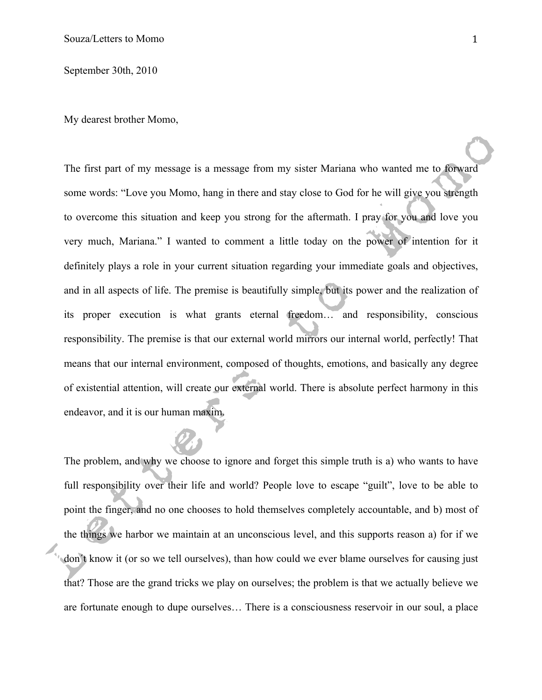September 30th, 2010

My dearest brother Momo,

The first part of my message is a message from my sister Mariana who wanted me to forward some words: "Love you Momo, hang in there and stay close to God for he will give you strength to overcome this situation and keep you strong for the aftermath. I pray for you and love you very much, Mariana." I wanted to comment a little today on the power of intention for it definitely plays a role in your current situation regarding your immediate goals and objectives, and in all aspects of life. The premise is beautifully simple, but its power and the realization of its proper execution is what grants eternal freedom… and responsibility, conscious responsibility. The premise is that our external world mirrors our internal world, perfectly! That means that our internal environment, composed of thoughts, emotions, and basically any degree of existential attention, will create our external world. There is absolute perfect harmony in this endeavor, and it is our human maxim.

The problem, and why we choose to ignore and forget this simple truth is a) who wants to have full responsibility over their life and world? People love to escape "guilt", love to be able to point the finger, and no one chooses to hold themselves completely accountable, and b) most of the things we harbor we maintain at an unconscious level, and this supports reason a) for if we don´t know it (or so we tell ourselves), than how could we ever blame ourselves for causing just that? Those are the grand tricks we play on ourselves; the problem is that we actually believe we are fortunate enough to dupe ourselves… There is a consciousness reservoir in our soul, a place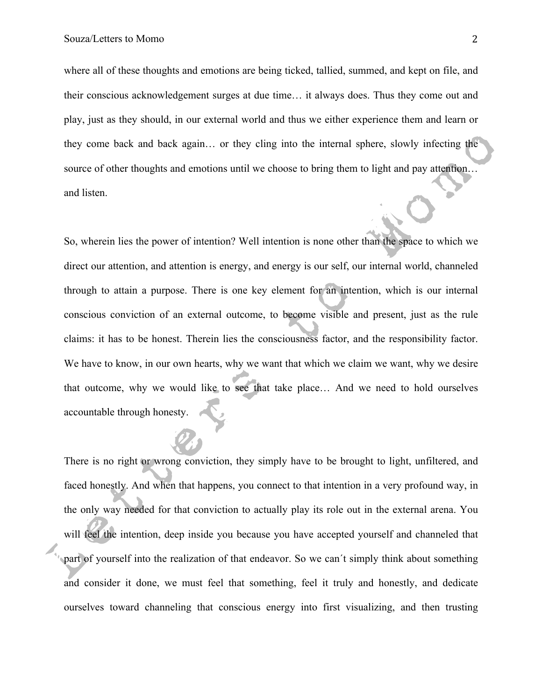where all of these thoughts and emotions are being ticked, tallied, summed, and kept on file, and their conscious acknowledgement surges at due time… it always does. Thus they come out and play, just as they should, in our external world and thus we either experience them and learn or they come back and back again… or they cling into the internal sphere, slowly infecting the source of other thoughts and emotions until we choose to bring them to light and pay attention… and listen.

So, wherein lies the power of intention? Well intention is none other than the space to which we direct our attention, and attention is energy, and energy is our self, our internal world, channeled through to attain a purpose. There is one key element for an intention, which is our internal conscious conviction of an external outcome, to become visible and present, just as the rule claims: it has to be honest. Therein lies the consciousness factor, and the responsibility factor. We have to know, in our own hearts, why we want that which we claim we want, why we desire that outcome, why we would like to see that take place… And we need to hold ourselves accountable through honesty.

There is no right or wrong conviction, they simply have to be brought to light, unfiltered, and faced honestly. And when that happens, you connect to that intention in a very profound way, in the only way needed for that conviction to actually play its role out in the external arena. You will feel the intention, deep inside you because you have accepted yourself and channeled that part of yourself into the realization of that endeavor. So we can´t simply think about something and consider it done, we must feel that something, feel it truly and honestly, and dedicate ourselves toward channeling that conscious energy into first visualizing, and then trusting